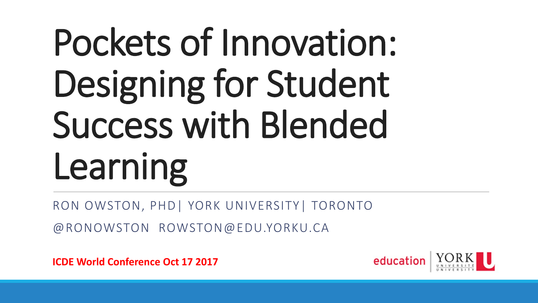## Pockets of Innovation: Designing for Student Success with Blended Learning

RON OWSTON, PHD| YORK UNIVERSITY| TORONTO

@RONOWSTON ROWSTON@EDU.YORKU.CA

**ICDE World Conference Oct 17 2017**

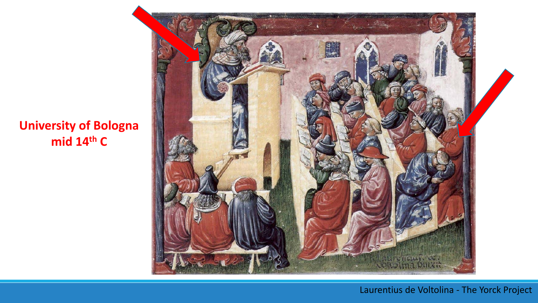### **University of Bologna mid 14th C**



#### Laurentius de Voltolina - The Yorck Project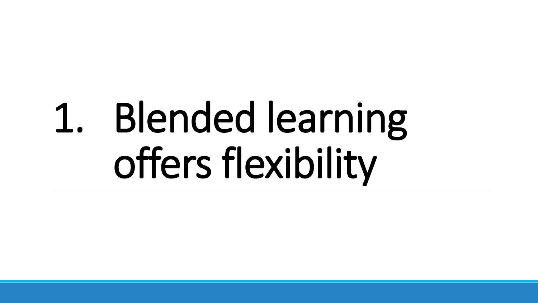## 1. Blended learning offers flexibility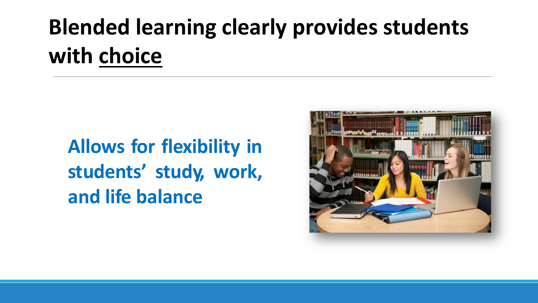## **Blended learning clearly provides students with choice**

**Allows for flexibility in students' study, work, and life balance**

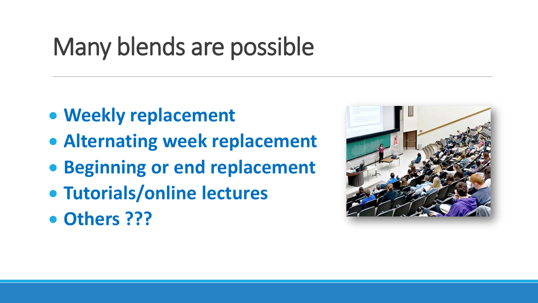## Many blends are possible

- **Weekly replacement**
- **Alternating week replacement**
- **Beginning or end replacement**
- **Tutorials/online lectures**
- **Others ???**

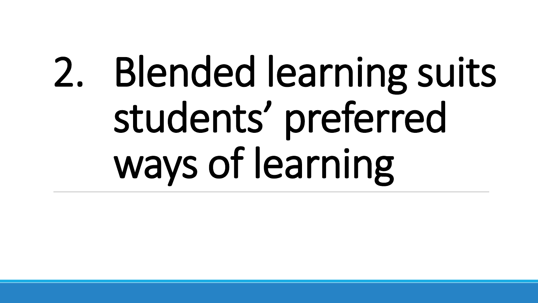# 2. Blended learning suits students' preferred ways of learning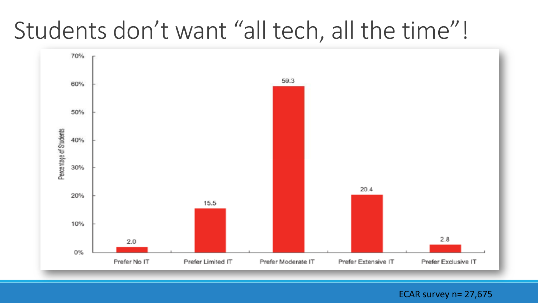## Students don't want "all tech, all the time"!



ECAR survey n= 27,675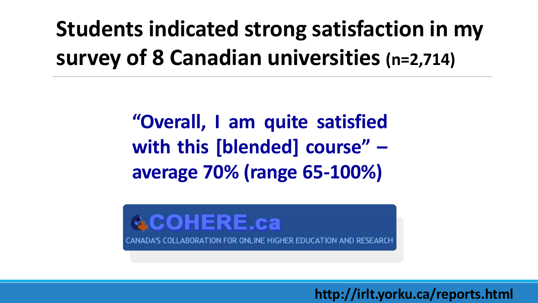## **Students indicated strong satisfaction in my survey of 8 Canadian universities (n=2,714)**

**"Overall, I am quite satisfied with this [blended] course" – average 70% (range 65-100%)**



**http://irlt.yorku.ca/reports.html**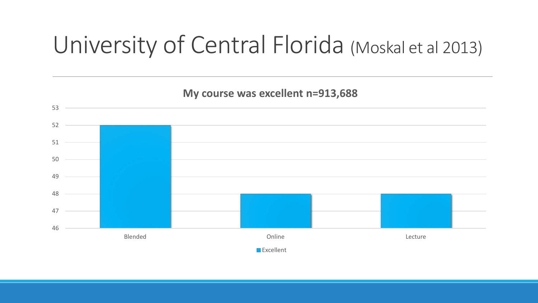## University of Central Florida (Moskal et al 2013)

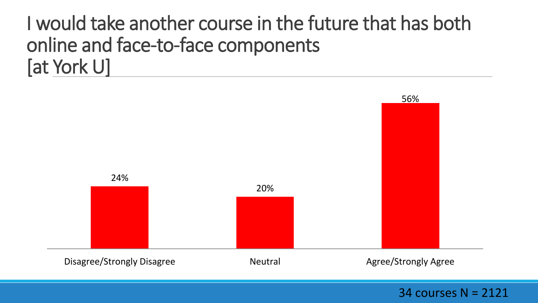### I would take another course in the future that has both online and face-to-face components [at York U]



34 courses N = 2121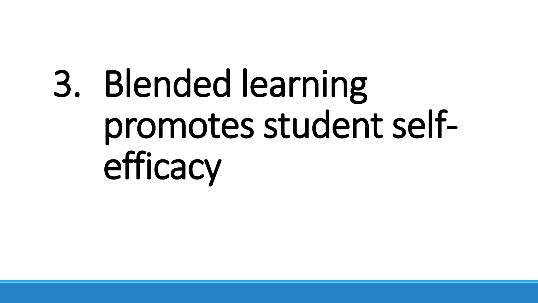## 3. Blended learning promotes student selfefficacy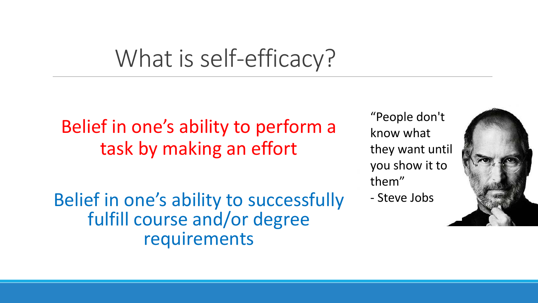## What is self-efficacy?

Belief in one's ability to perform a task by making an effort

Belief in one's ability to successfully fulfill course and/or degree requirements

"People don't know what they want until you show it to them" - Steve Jobs

![](_page_11_Picture_4.jpeg)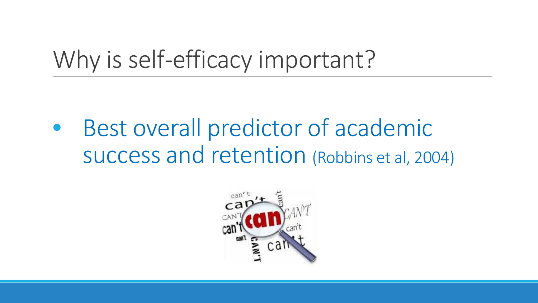## Why is self-efficacy important?

Best overall predictor of academic success and retention (Robbins et al, 2004)

![](_page_12_Picture_2.jpeg)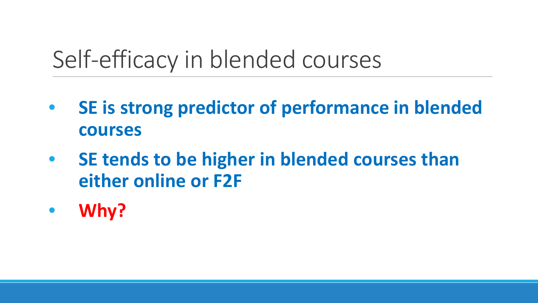## Self-efficacy in blended courses

- **SE is strong predictor of performance in blended courses**
- **SE tends to be higher in blended courses than either online or F2F**
- **Why?**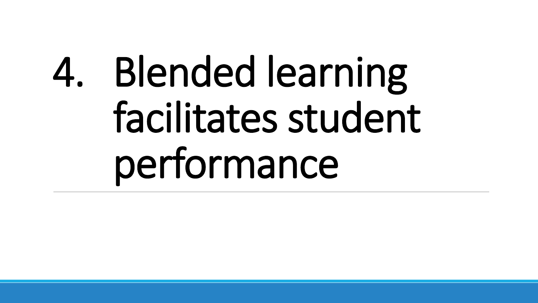# 4. Blended learning facilitates student performance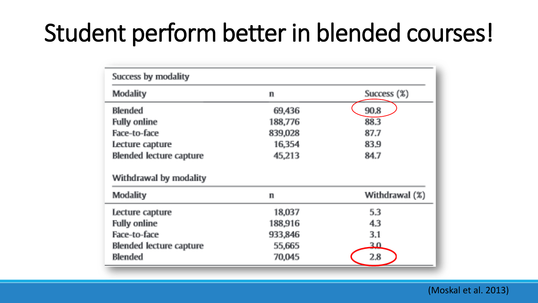## Student perform better in blended courses!

| Success by modality     |             |                   |
|-------------------------|-------------|-------------------|
| Modality                | $\mathbf n$ | Success (%)       |
| Blended                 | 69,436      | 90.8              |
| <b>Fully online</b>     | 188,776     | 88.3              |
| Face-to-face            | 839,028     | 87.7              |
| Lecture capture         | 16,354      | 83.9              |
| Blended lecture capture | 45,213      | 84.7              |
| Withdrawal by modality  |             |                   |
| Modality                | $\mathbf n$ | Withdrawal $(\%)$ |
| Lecture capture         | 18,037      | 5.3               |
| <b>Fully online</b>     | 188,916     | 4.3               |
| Face-to-face            | 933,846     | 3.1               |
| Blended lecture capture | 55,665      | 30                |
| Blended                 | 70,045      | 2.8               |

(Moskal et al. 2013)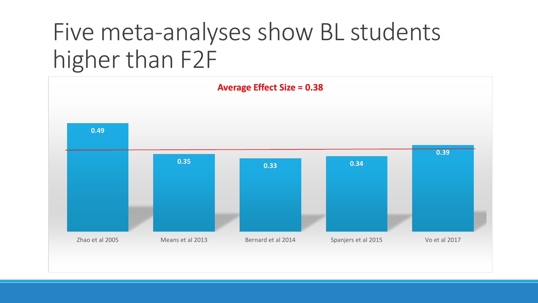## Five meta-analyses show BL students higher than F2F

![](_page_16_Figure_1.jpeg)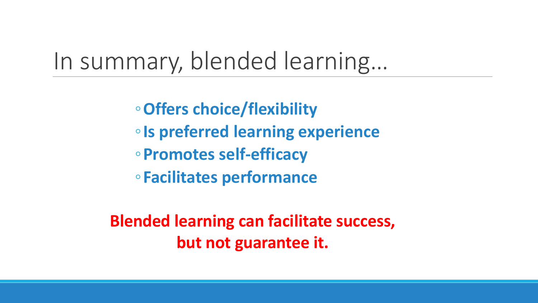### In summary, blended learning…

◦**Offers choice/flexibility**  ◦**Is preferred learning experience**

◦**Promotes self-efficacy**

◦**Facilitates performance**

**Blended learning can facilitate success, but not guarantee it.**